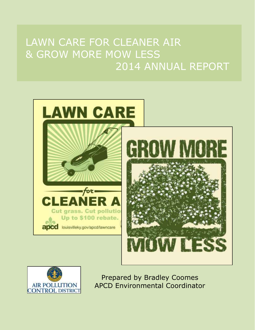# LAWN CARE FOR CLEANER AIR & GROW MORE MOW LESS 2014 ANNUAL REPORT





Prepared by Bradley Coomes APCD Environmental Coordinator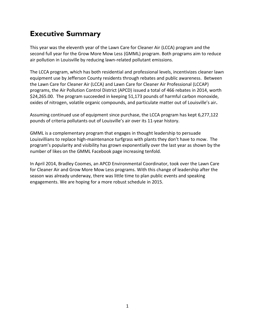### **Executive Summary**

This year was the eleventh year of the Lawn Care for Cleaner Air (LCCA) program and the second full year for the Grow More Mow Less (GMML) program. Both programs aim to reduce air pollution in Louisville by reducing lawn-related pollutant emissions.

The LCCA program, which has both residential and professional levels, incentivizes cleaner lawn equipment use by Jefferson County residents through rebates and public awareness. Between the Lawn Care for Cleaner Air (LCCA) and Lawn Care for Cleaner Air Professional (LCCAP) programs, the Air Pollution Control District (APCD) issued a total of 466 rebates in 2014, worth \$24,265.00. The program succeeded in keeping 51,173 pounds of harmful carbon monoxide, oxides of nitrogen, volatile organic compounds, and particulate matter out of Louisville's air**.** 

Assuming continued use of equipment since purchase, the LCCA program has kept 6,277,122 pounds of criteria pollutants out of Louisville's air over its 11-year history.

GMML is a complementary program that engages in thought leadership to persuade Louisvillians to replace high-maintenance turfgrass with plants they don't have to mow. The program's popularity and visibility has grown exponentially over the last year as shown by the number of likes on the GMML Facebook page increasing tenfold.

In April 2014, Bradley Coomes, an APCD Environmental Coordinator, took over the Lawn Care for Cleaner Air and Grow More Mow Less programs. With this change of leadership after the season was already underway, there was little time to plan public events and speaking engagements. We are hoping for a more robust schedule in 2015.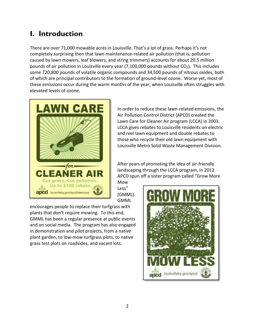### **I. Introduction**

There are over 71,000 mowable acres in Louisville. That's a lot of grass. Perhaps it's not completely surprising then that lawn maintenance-related air pollution (that is, pollution caused by lawn mowers, leaf blowers, and string trimmers) accounts for about 20.5 million pounds of air pollution in Louisville every year (7,100,000 pounds without  $CO<sub>2</sub>$ ). This includes some 720,800 pounds of volatile organic compounds and 34,500 pounds of nitrous oxides, both of which are principal contributors to the formation of ground-level ozone. Worse yet, most of these emissions occur during the warm months of the year, when Louisville often struggles with elevated levels of ozone.



In order to reduce these lawn-related emissions, the Air Pollution Control District (APCD) created the Lawn Care for Cleaner Air program (LCCA) in 2003. LCCA gives rebates to Louisville residents on electric and reel lawn equipment and double rebates to those who recycle their old lawn equipment with Louisville Metro Solid Waste Management Division.

After years of promoting the idea of air-friendly landscaping through the LCCA program, in 2012 APCD spun off a sister program called "Grow More Mow

Less" (GMML). GMML

encourages people to replace their turfgrass with plants that don't require mowing. To this end, GMML has been a regular presence at public events and on social media. The program has also engaged in demonstration and pilot projects, from a native plant garden, to low-mow turfgrass plots, to native grass test plots on roadsides, and vacant lots.

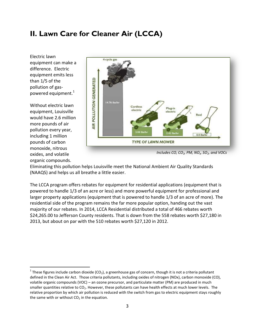### **II. Lawn Care for Cleaner Air (LCCA)**

Electric lawn equipment can make a difference. Electric equipment emits less than 1/5 of the pollution of gaspowered equipment.<sup>1</sup>

Without electric lawn equipment, Louisville would have 2.6 million more pounds of air pollution every year, including 1 million pounds of carbon monoxide, nitrous oxides, and volatile organic compounds.

 $\overline{a}$ 



*Includes CO, CO2, PM, NO<sup>x</sup> , SO2, and VOCs*

Eliminating this pollution helps Louisville meet the National Ambient Air Quality Standards (NAAQS) and helps us all breathe a little easier.

The LCCA program offers rebates for equipment for residential applications (equipment that is powered to handle 1/3 of an acre or less) and more powerful equipment for professional and larger property applications (equipment that is powered to handle 1/3 of an acre of more). The residential side of the program remains the far more popular option, handing out the vast majority of our rebates. In 2014, LCCA Residential distributed a total of 466 rebates worth \$24,265.00 to Jefferson County residents. That is down from the 558 rebates worth \$27,180 in 2013, but about on par with the 510 rebates worth \$27,120 in 2012.

<sup>&</sup>lt;sup>1</sup> These figures include carbon dioxide (CO<sub>2</sub>), a greenhouse gas of concern, though it is not a criteria pollutant defined in the Clean Air Act. Those criteria pollutants, including oxides of nitrogen (NOx), carbon monoxide (CO), volatile organic compounds (VOC) – an ozone precursor, and particulate matter (PM) are produced in much smaller quantities relative to  $CO<sub>2</sub>$ . However, these pollutants can have health effects at much lower levels. The relative proportion by which air pollution is reduced with the switch from gas to electric equipment stays roughly the same with or without  $CO<sub>2</sub>$  in the equation.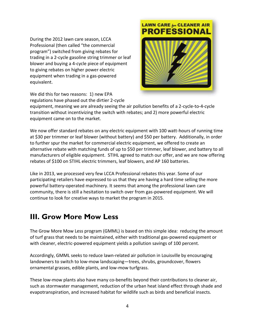During the 2012 lawn care season, LCCA Professional (then called "the commercial program") switched from giving rebates for trading in a 2-cycle gasoline string trimmer or leaf blower and buying a 4-cycle piece of equipment to giving rebates on higher power electric equipment when trading in a gas-powered equivalent.



We did this for two reasons: 1) new EPA regulations have phased out the dirtier 2-cycle

equipment, meaning we are already seeing the air pollution benefits of a 2-cycle-to-4-cycle transition without incentivizing the switch with rebates; and 2) more powerful electric equipment came on to the market.

We now offer standard rebates on any electric equipment with 100 watt-hours of running time at \$30 per trimmer or leaf blower (without battery) and \$50 per battery. Additionally, in order to further spur the market for commercial electric equipment, we offered to create an alternative rebate with matching funds of up to \$50 per trimmer, leaf blower, and battery to all manufacturers of eligible equipment. STIHL agreed to match our offer, and we are now offering rebates of \$100 on STIHL electric trimmers, leaf blowers, and AP 160 batteries.

Like in 2013, we processed very few LCCA Professional rebates this year. Some of our participating retailers have expressed to us that they are having a hard time selling the more powerful battery-operated machinery. It seems that among the professional lawn care community, there is still a hesitation to switch over from gas-powered equipment. We will continue to look for creative ways to market the program in 2015.

### **III. Grow More Mow Less**

The Grow More Mow Less program (GMML) is based on this simple idea: reducing the amount of turf grass that needs to be maintained, either with traditional gas-powered equipment or with cleaner, electric-powered equipment yields a pollution savings of 100 percent.

Accordingly, GMML seeks to reduce lawn-related air pollution in Louisville by encouraging landowners to switch to low-mow landscaping—trees, shrubs, groundcover, flowers ornamental grasses, edible plants, and low-mow turfgrass.

These low-mow plants also have many co-benefits beyond their contributions to cleaner air, such as stormwater management, reduction of the urban heat island effect through shade and evapotranspiration, and increased habitat for wildlife such as birds and beneficial insects.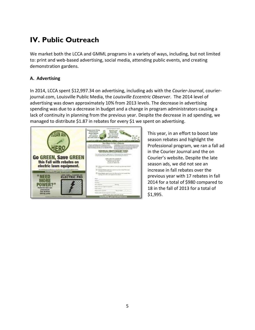## **IV. Public Outreach**

We market both the LCCA and GMML programs in a variety of ways, including, but not limited to: print and web-based advertising, social media, attending public events, and creating demonstration gardens.

### **A. Advertising**

In 2014, LCCA spent \$12,997.34 on advertising, including ads with the *Courier-Journal*, courierjournal.com, Louisville Public Media, the *Louisville Eccentric Observer*.The 2014 level of advertising was down approximately 10% from 2013 levels. The decrease in advertising spending was due to a decrease in budget and a change in program administrators causing a lack of continuity in planning from the previous year. Despite the decrease in ad spending, we managed to distribute \$1.87 in rebates for every \$1 we spent on advertising.



This year, in an effort to boost late season rebates and highlight the Professional program, we ran a fall ad in the Courier Journal and the on Courier's website**.** Despite the late season ads, we did not see an increase in fall rebates over the previous year with 17 rebates in fall 2014 for a total of \$980 compared to 18 in the fall of 2013 for a total of \$1,995.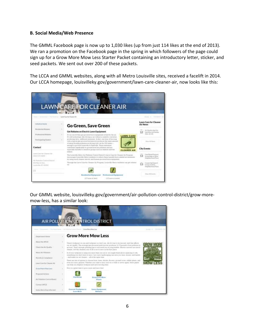#### **B. Social Media/Web Presence**

The GMML Facebook page is now up to 1,030 likes (up from just 114 likes at the end of 2013). We ran a promotion on the Facebook page in the spring in which followers of the page could sign up for a Grow More Mow Less Starter Packet containing an introductory letter, sticker, and seed packets. We sent out over 200 of these packets.

The LCCA and GMML websites, along with all Metro Louisville sites, received a facelift in 2014. Our LCCA homepage, louisvilleky.gov/government/lawn-care-cleaner-air, now looks like this:

| LAWN                                                                       | <b>CARE FOR CLEANER AIR</b>                                                                                                                                                                                                                                                                                                                                                              |                                                                              |
|----------------------------------------------------------------------------|------------------------------------------------------------------------------------------------------------------------------------------------------------------------------------------------------------------------------------------------------------------------------------------------------------------------------------------------------------------------------------------|------------------------------------------------------------------------------|
| From J. Journover/ J. His brinnings / Lewis Combe Classes did              |                                                                                                                                                                                                                                                                                                                                                                                          | <b>Telesian's Ch</b><br><b>HAME</b> of                                       |
| HillsTen Hotel                                                             | Go Green, Save Green                                                                                                                                                                                                                                                                                                                                                                     | Lawn Care for Cleaner<br>Air News                                            |
| Heightrilid Robinsi                                                        | Get Rebates on Electric Lawn Equipment                                                                                                                                                                                                                                                                                                                                                   | Art Shocky Alart for<br>Sutrohilar and Services<br>$($ Den. 13-146           |
| <b>Piratessimul Retailer</b><br>Partnisative Dealers                       | If it isn inscret that pair-pursuand limit withplaned at backer the air.<br><b>LAWN CARE</b><br>30 said technisiany, kits character a car without a natalytic converter.<br>protected ticity, redDreivel enterstand. In fact, new hone of movement<br>with a typical gas proceed invitatorer produces the same assurat-<br>of reang-furning pollution as driving your cur for 200 miles- | Hono Fill Televisi                                                           |
| Contact                                                                    | except to go fine Louisville to Neilvalle. These exposures-<br>oustainers including surface therein of virginisting at visualization<br>expectably harinful to presidive proups such an challines and fine<br><b>CLEANER AIR</b><br>eighth                                                                                                                                               | City Events                                                                  |
| Longer Carrie Rate Chicagony Ado-<br>$(51121779 + 65899)$                  | The Louisville Metro Arc Politics e Concol District's Levie Care for Cleaner Art Progress<br>excitationales Listamille Herrin residents to reduce these harrable into resident air resistance<br>by island much claimer wie this and habital perveral laten replyment                                                                                                                    | Fine Bood Pressure<br>13<br>Yatminings of Olivea.<br>Niel-MidsonTested Place |
| All William Control Beach<br><b>BASTRAHAM BANY</b><br>Lockielle, WV 447054 | Plannels the Levie Ciate for Cheese Air Progress Severals Matter residents can get veheme                                                                                                                                                                                                                                                                                                | Couponing Stapport<br>13 Department<br>Finish Box Travel Flying              |
| 52                                                                         |                                                                                                                                                                                                                                                                                                                                                                                          | Visa 64 Zoonta                                                               |
|                                                                            | Bestinstial Congression Professional Equipment<br>(1/3 acro-or born)<br>LET AUTO OT ISSUE                                                                                                                                                                                                                                                                                                |                                                                              |

Our GMML website, louisvilleky.gov/government/air-pollution-control-district/grow-moremow-less, has a similar look:

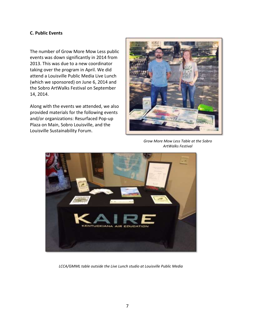#### **C. Public Events**

The number of Grow More Mow Less public events was down significantly in 2014 from 2013. This was due to a new coordinator taking over the program in April. We did attend a Louisville Public Media Live Lunch (which we sponsored) on June 6, 2014 and the Sobro ArtWalks Festival on September 14, 2014.

Along with the events we attended, we also provided materials for the following events and/or organizations: Resurfaced Pop-up Plaza on Main, Sobro Louisville, and the Louisville Sustainability Forum.



*Grow More Mow Less Table at the Sobro ArtWalks Festival*



*LCCA/GMML table outside the Live Lunch studio at Louisville Public Media*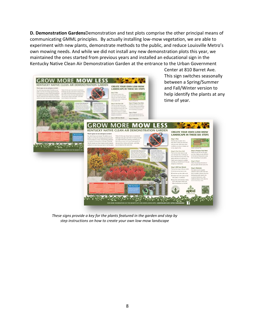**D. Demonstration Gardens**Demonstration and test plots comprise the other principal means of communicating GMML principles. By actually installing low-mow vegetation, we are able to experiment with new plants, demonstrate methods to the public, and reduce Louisville Metro's own mowing needs. And while we did not install any new demonstration plots this year, we maintained the ones started from previous years and installed an educational sign in the Kentucky Native Clean Air Demonstration Garden at the entrance to the Urban Government



*These signs provide a key for the plants featured in the garden and step by step instructions on how to create your own low-mow landscape*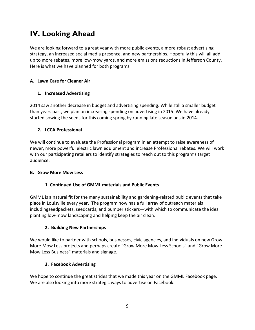### **IV. Looking Ahead**

We are looking forward to a great year with more public events, a more robust advertising strategy, an increased social media presence, and new partnerships. Hopefully this will all add up to more rebates, more low-mow yards, and more emissions reductions in Jefferson County. Here is what we have planned for both programs:

### **A. Lawn Care for Cleaner Air**

### **1. Increased Advertising**

2014 saw another decrease in budget and advertising spending. While still a smaller budget than years past, we plan on increasing spending on advertising in 2015. We have already started sowing the seeds for this coming spring by running late season ads in 2014.

#### **2. LCCA Professional**

We will continue to evaluate the Professional program in an attempt to raise awareness of newer, more powerful electric lawn equipment and increase Professional rebates. We will work with our participating retailers to identify strategies to reach out to this program's target audience.

#### **B. Grow More Mow Less**

### **1. Continued Use of GMML materials and Public Events**

GMML is a natural fit for the many sustainability and gardening-related public events that take place in Louisville every year. The program now has a full array of outreach materials includingseedpackets, seedcards, and bumper stickers—with which to communicate the idea planting low-mow landscaping and helping keep the air clean.

### **2. Building New Partnerships**

We would like to partner with schools, businesses, civic agencies, and individuals on new Grow More Mow Less projects and perhaps create "Grow More Mow Less Schools" and "Grow More Mow Less Business" materials and signage.

### **3. Facebook Advertising**

We hope to continue the great strides that we made this year on the GMML Facebook page. We are also looking into more strategic ways to advertise on Facebook.